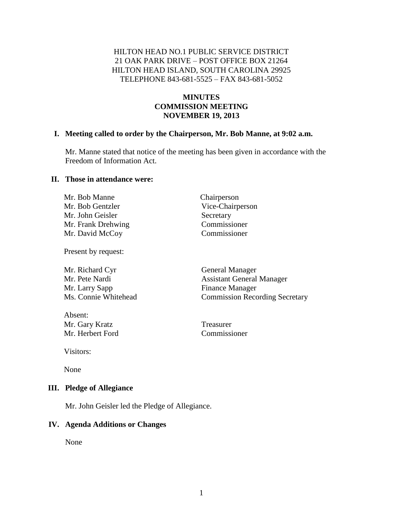#### HILTON HEAD NO.1 PUBLIC SERVICE DISTRICT 21 OAK PARK DRIVE – POST OFFICE BOX 21264 HILTON HEAD ISLAND, SOUTH CAROLINA 29925 TELEPHONE 843-681-5525 – FAX 843-681-5052

## **MINUTES COMMISSION MEETING NOVEMBER 19, 2013**

#### **I. Meeting called to order by the Chairperson, Mr. Bob Manne, at 9:02 a.m.**

Mr. Manne stated that notice of the meeting has been given in accordance with the Freedom of Information Act.

#### **II. Those in attendance were:**

Mr. Bob Manne Chairperson Mr. Bob Gentzler Vice-Chairperson Mr. John Geisler Secretary Mr. Frank Drehwing Commissioner Mr. David McCoy Commissioner

Present by request:

Mr. Richard Cyr General Manager Mr. Larry Sapp Finance Manager

Absent: Mr. Gary Kratz Treasurer Mr. Herbert Ford Commissioner

Mr. Pete Nardi Assistant General Manager Ms. Connie Whitehead Commission Recording Secretary

Visitors:

None

#### **III. Pledge of Allegiance**

Mr. John Geisler led the Pledge of Allegiance.

#### **IV. Agenda Additions or Changes**

None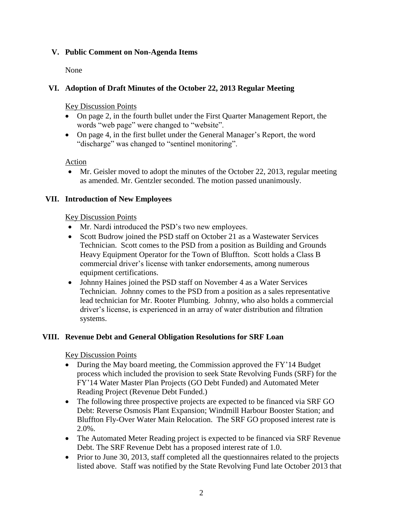## **V. Public Comment on Non-Agenda Items**

None

## **VI. Adoption of Draft Minutes of the October 22, 2013 Regular Meeting**

Key Discussion Points

- On page 2, in the fourth bullet under the First Quarter Management Report, the words "web page" were changed to "website".
- On page 4, in the first bullet under the General Manager's Report, the word "discharge" was changed to "sentinel monitoring".

Action

 Mr. Geisler moved to adopt the minutes of the October 22, 2013, regular meeting as amended. Mr. Gentzler seconded. The motion passed unanimously.

## **VII. Introduction of New Employees**

## Key Discussion Points

- Mr. Nardi introduced the PSD's two new employees.
- Scott Budrow joined the PSD staff on October 21 as a Wastewater Services Technician. Scott comes to the PSD from a position as Building and Grounds Heavy Equipment Operator for the Town of Bluffton. Scott holds a Class B commercial driver's license with tanker endorsements, among numerous equipment certifications.
- Johnny Haines joined the PSD staff on November 4 as a Water Services Technician. Johnny comes to the PSD from a position as a sales representative lead technician for Mr. Rooter Plumbing. Johnny, who also holds a commercial driver's license, is experienced in an array of water distribution and filtration systems.

## **VIII. Revenue Debt and General Obligation Resolutions for SRF Loan**

Key Discussion Points

- During the May board meeting, the Commission approved the FY'14 Budget process which included the provision to seek State Revolving Funds (SRF) for the FY'14 Water Master Plan Projects (GO Debt Funded) and Automated Meter Reading Project (Revenue Debt Funded.)
- The following three prospective projects are expected to be financed via SRF GO Debt: Reverse Osmosis Plant Expansion; Windmill Harbour Booster Station; and Bluffton Fly-Over Water Main Relocation. The SRF GO proposed interest rate is 2.0%.
- The Automated Meter Reading project is expected to be financed via SRF Revenue Debt. The SRF Revenue Debt has a proposed interest rate of 1.0.
- Prior to June 30, 2013, staff completed all the questionnaires related to the projects listed above. Staff was notified by the State Revolving Fund late October 2013 that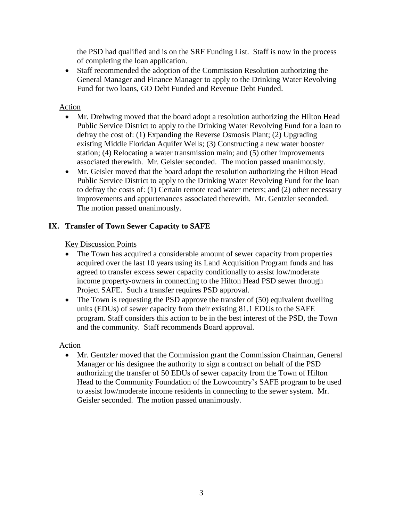the PSD had qualified and is on the SRF Funding List. Staff is now in the process of completing the loan application.

 Staff recommended the adoption of the Commission Resolution authorizing the General Manager and Finance Manager to apply to the Drinking Water Revolving Fund for two loans, GO Debt Funded and Revenue Debt Funded.

## Action

- Mr. Drehwing moved that the board adopt a resolution authorizing the Hilton Head Public Service District to apply to the Drinking Water Revolving Fund for a loan to defray the cost of: (1) Expanding the Reverse Osmosis Plant; (2) Upgrading existing Middle Floridan Aquifer Wells; (3) Constructing a new water booster station; (4) Relocating a water transmission main; and (5) other improvements associated therewith. Mr. Geisler seconded. The motion passed unanimously.
- Mr. Geisler moved that the board adopt the resolution authorizing the Hilton Head Public Service District to apply to the Drinking Water Revolving Fund for the loan to defray the costs of: (1) Certain remote read water meters; and (2) other necessary improvements and appurtenances associated therewith. Mr. Gentzler seconded. The motion passed unanimously.

# **IX. Transfer of Town Sewer Capacity to SAFE**

## Key Discussion Points

- The Town has acquired a considerable amount of sewer capacity from properties acquired over the last 10 years using its Land Acquisition Program funds and has agreed to transfer excess sewer capacity conditionally to assist low/moderate income property-owners in connecting to the Hilton Head PSD sewer through Project SAFE. Such a transfer requires PSD approval.
- $\bullet$  The Town is requesting the PSD approve the transfer of (50) equivalent dwelling units (EDUs) of sewer capacity from their existing 81.1 EDUs to the SAFE program. Staff considers this action to be in the best interest of the PSD, the Town and the community. Staff recommends Board approval.

## Action

 Mr. Gentzler moved that the Commission grant the Commission Chairman, General Manager or his designee the authority to sign a contract on behalf of the PSD authorizing the transfer of 50 EDUs of sewer capacity from the Town of Hilton Head to the Community Foundation of the Lowcountry's SAFE program to be used to assist low/moderate income residents in connecting to the sewer system. Mr. Geisler seconded. The motion passed unanimously.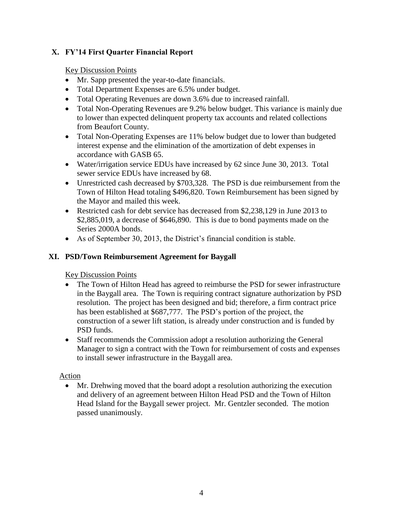## **X. FY'14 First Quarter Financial Report**

## Key Discussion Points

- Mr. Sapp presented the year-to-date financials.
- Total Department Expenses are 6.5% under budget.
- Total Operating Revenues are down 3.6% due to increased rainfall.
- Total Non-Operating Revenues are 9.2% below budget. This variance is mainly due to lower than expected delinquent property tax accounts and related collections from Beaufort County.
- Total Non-Operating Expenses are 11% below budget due to lower than budgeted interest expense and the elimination of the amortization of debt expenses in accordance with GASB 65.
- Water/irrigation service EDUs have increased by 62 since June 30, 2013. Total sewer service EDUs have increased by 68.
- Unrestricted cash decreased by \$703,328. The PSD is due reimbursement from the Town of Hilton Head totaling \$496,820. Town Reimbursement has been signed by the Mayor and mailed this week.
- Restricted cash for debt service has decreased from \$2,238,129 in June 2013 to \$2,885,019, a decrease of \$646,890. This is due to bond payments made on the Series 2000A bonds.
- As of September 30, 2013, the District's financial condition is stable.

# **XI. PSD/Town Reimbursement Agreement for Baygall**

# Key Discussion Points

- The Town of Hilton Head has agreed to reimburse the PSD for sewer infrastructure in the Baygall area. The Town is requiring contract signature authorization by PSD resolution. The project has been designed and bid; therefore, a firm contract price has been established at \$687,777. The PSD's portion of the project, the construction of a sewer lift station, is already under construction and is funded by PSD funds.
- Staff recommends the Commission adopt a resolution authorizing the General Manager to sign a contract with the Town for reimbursement of costs and expenses to install sewer infrastructure in the Baygall area.

## Action

 Mr. Drehwing moved that the board adopt a resolution authorizing the execution and delivery of an agreement between Hilton Head PSD and the Town of Hilton Head Island for the Baygall sewer project. Mr. Gentzler seconded. The motion passed unanimously.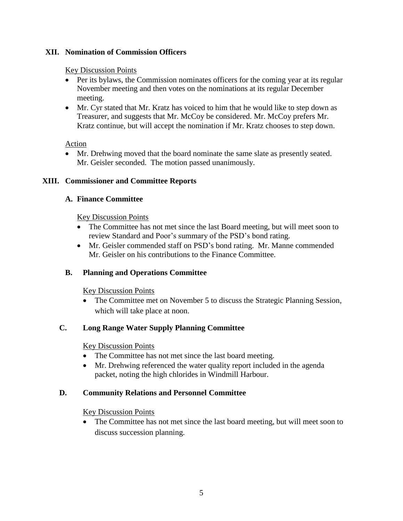## **XII. Nomination of Commission Officers**

#### Key Discussion Points

- Per its bylaws, the Commission nominates officers for the coming year at its regular November meeting and then votes on the nominations at its regular December meeting.
- Mr. Cyr stated that Mr. Kratz has voiced to him that he would like to step down as Treasurer, and suggests that Mr. McCoy be considered. Mr. McCoy prefers Mr. Kratz continue, but will accept the nomination if Mr. Kratz chooses to step down.

#### Action

 Mr. Drehwing moved that the board nominate the same slate as presently seated. Mr. Geisler seconded. The motion passed unanimously.

#### **XIII. Commissioner and Committee Reports**

#### **A. Finance Committee**

#### Key Discussion Points

- The Committee has not met since the last Board meeting, but will meet soon to review Standard and Poor's summary of the PSD's bond rating.
- Mr. Geisler commended staff on PSD's bond rating. Mr. Manne commended Mr. Geisler on his contributions to the Finance Committee.

#### **B. Planning and Operations Committee**

#### Key Discussion Points

 The Committee met on November 5 to discuss the Strategic Planning Session, which will take place at noon.

## **C. Long Range Water Supply Planning Committee**

#### Key Discussion Points

- The Committee has not met since the last board meeting.
- Mr. Drehwing referenced the water quality report included in the agenda packet, noting the high chlorides in Windmill Harbour.

#### **D. Community Relations and Personnel Committee**

#### Key Discussion Points

• The Committee has not met since the last board meeting, but will meet soon to discuss succession planning.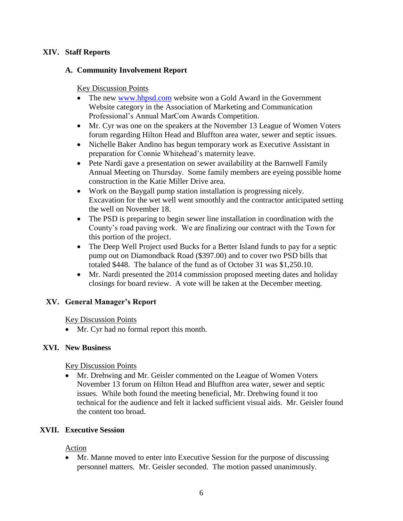## **XIV. Staff Reports**

#### **A. Community Involvement Report**

#### Key Discussion Points

- The new [www.hhpsd.com](http://www.hhpsd.com/) website won a Gold Award in the Government Website category in the Association of Marketing and Communication Professional's Annual MarCom Awards Competition.
- Mr. Cyr was one on the speakers at the November 13 League of Women Voters forum regarding Hilton Head and Bluffton area water, sewer and septic issues.
- Nichelle Baker Andino has begun temporary work as Executive Assistant in preparation for Connie Whitehead's maternity leave.
- Pete Nardi gave a presentation on sewer availability at the Barnwell Family Annual Meeting on Thursday. Some family members are eyeing possible home construction in the Katie Miller Drive area.
- Work on the Baygall pump station installation is progressing nicely. Excavation for the wet well went smoothly and the contractor anticipated setting the well on November 18.
- The PSD is preparing to begin sewer line installation in coordination with the County's road paving work. We are finalizing our contract with the Town for this portion of the project.
- The Deep Well Project used Bucks for a Better Island funds to pay for a septic pump out on Diamondback Road (\$397.00) and to cover two PSD bills that totaled \$448. The balance of the fund as of October 31 was \$1,250.10.
- Mr. Nardi presented the 2014 commission proposed meeting dates and holiday closings for board review. A vote will be taken at the December meeting.

## **XV. General Manager's Report**

Key Discussion Points

• Mr. Cyr had no formal report this month.

#### **XVI. New Business**

Key Discussion Points

 Mr. Drehwing and Mr. Geisler commented on the League of Women Voters November 13 forum on Hilton Head and Bluffton area water, sewer and septic issues. While both found the meeting beneficial, Mr. Drehwing found it too technical for the audience and felt it lacked sufficient visual aids. Mr. Geisler found the content too broad.

## **XVII. Executive Session**

## Action

 Mr. Manne moved to enter into Executive Session for the purpose of discussing personnel matters. Mr. Geisler seconded. The motion passed unanimously.